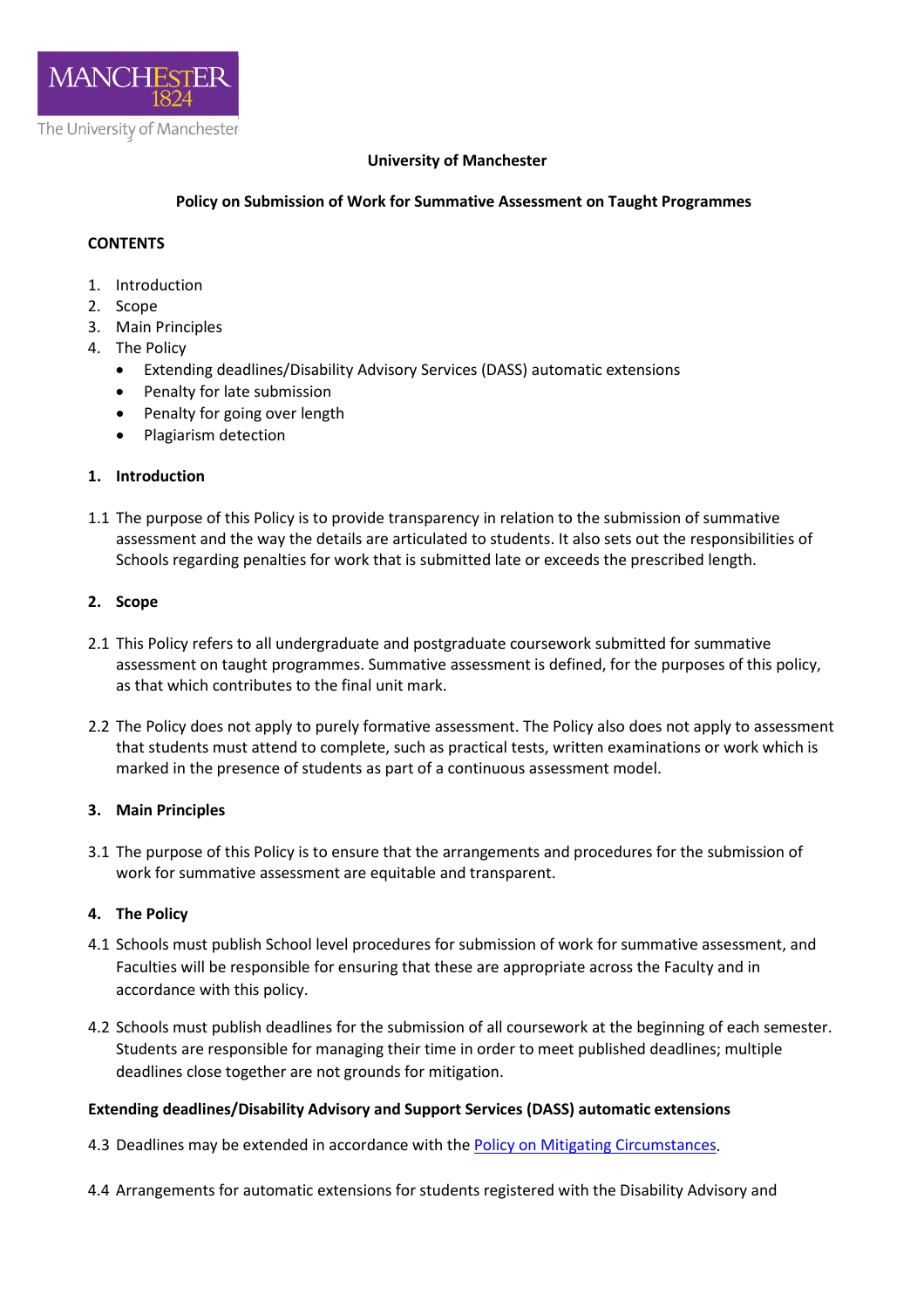

### **University of Manchester**

# **Policy on Submission of Work for Summative Assessment on Taught Programmes**

# **CONTENTS**

- 1. Introduction
- 2. Scope
- 3. Main Principles
- 4. The Policy
	- Extending deadlines/Disability Advisory Services (DASS) automatic extensions
	- Penalty for late submission
	- Penalty for going over length
	- Plagiarism detection

# **1. Introduction**

1.1 The purpose of this Policy is to provide transparency in relation to the submission of summative assessment and the way the details are articulated to students. It also sets out the responsibilities of Schools regarding penalties for work that is submitted late or exceeds the prescribed length.

#### **2. Scope**

- 2.1 This Policy refers to all undergraduate and postgraduate coursework submitted for summative assessment on taught programmes. Summative assessment is defined, for the purposes of this policy, as that which contributes to the final unit mark.
- 2.2 The Policy does not apply to purely formative assessment. The Policy also does not apply to assessment that students must attend to complete, such as practical tests, written examinations or work which is marked in the presence of students as part of a continuous assessment model.

#### **3. Main Principles**

3.1 The purpose of this Policy is to ensure that the arrangements and procedures for the submission of work for summative assessment are equitable and transparent.

#### **4. The Policy**

- 4.1 Schools must publish School level procedures for submission of work for summative assessment, and Faculties will be responsible for ensuring that these are appropriate across the Faculty and in accordance with this policy.
- 4.2 Schools must publish deadlines for the submission of all coursework at the beginning of each semester. Students are responsible for managing their time in order to meet published deadlines; multiple deadlines close together are not grounds for mitigation.

#### **Extending deadlines/Disability Advisory and Support Services (DASS) automatic extensions**

- 4.3 Deadlines may be extended in accordance with the [Policy on Mitigating Circumstances.](https://www.staffnet.manchester.ac.uk/tlso/policy-guidance/assessment/reaching-decisions-from-assessment/mitigating-circumstances/)
- 4.4 Arrangements for automatic extensions for students registered with the Disability Advisory and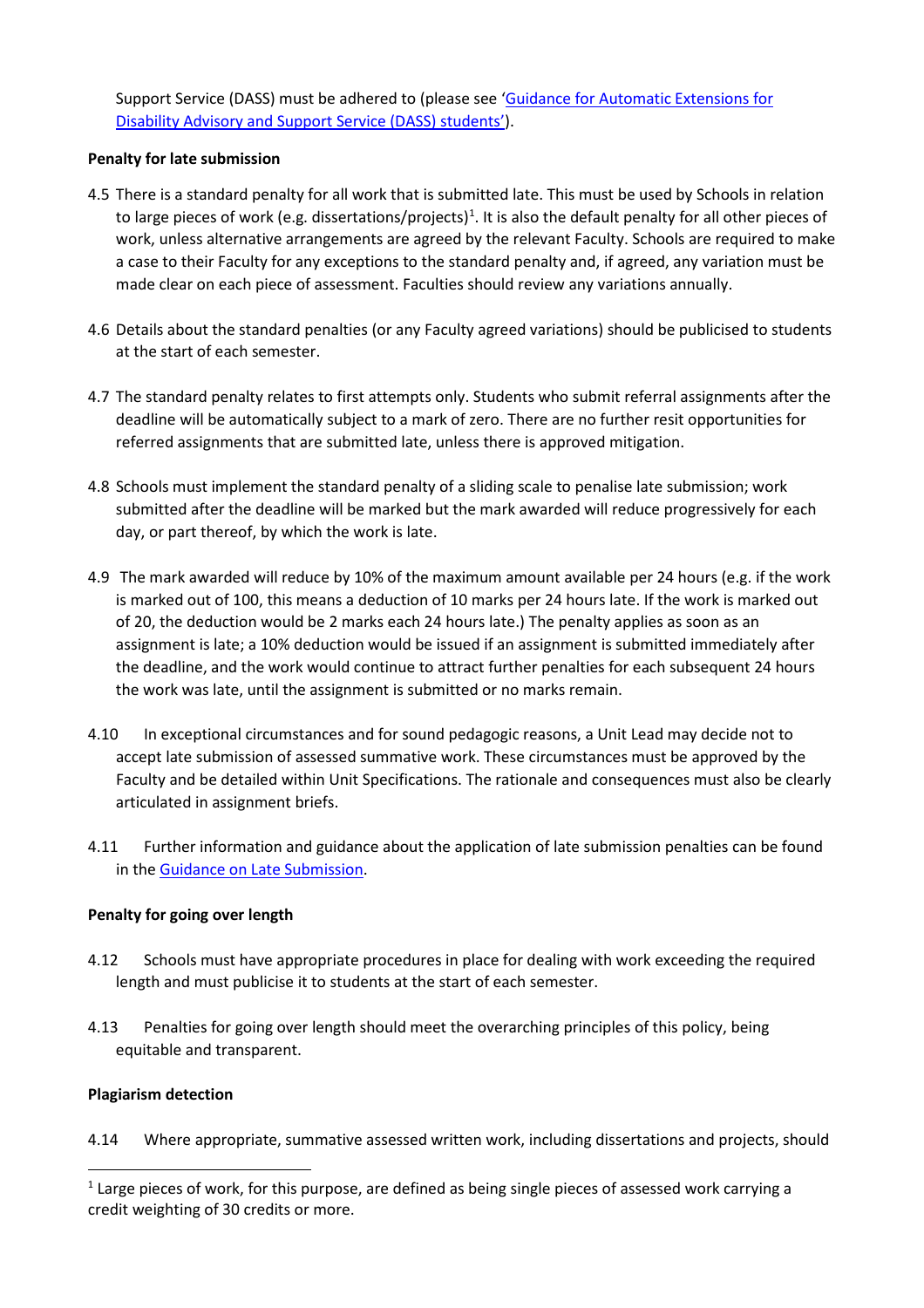Support Service (DASS) must be adhered to (please see ['Guidance for Automatic Extensions for](http://documents.manchester.ac.uk/display.aspx?DocID=37271)  [Disability Advisory and Support Service \(DASS\) students'\)](http://documents.manchester.ac.uk/display.aspx?DocID=37271).

# **Penalty for late submission**

- 4.5 There is a standard penalty for all work that is submitted late. This must be used by Schools in relation to large pieces of work (e.g. dissertations/projects)<sup>[1](#page-1-0)</sup>. It is also the default penalty for all other pieces of work, unless alternative arrangements are agreed by the relevant Faculty. Schools are required to make a case to their Faculty for any exceptions to the standard penalty and, if agreed, any variation must be made clear on each piece of assessment. Faculties should review any variations annually.
- 4.6 Details about the standard penalties (or any Faculty agreed variations) should be publicised to students at the start of each semester.
- 4.7 The standard penalty relates to first attempts only. Students who submit referral assignments after the deadline will be automatically subject to a mark of zero. There are no further resit opportunities for referred assignments that are submitted late, unless there is approved mitigation.
- 4.8 Schools must implement the standard penalty of a sliding scale to penalise late submission; work submitted after the deadline will be marked but the mark awarded will reduce progressively for each day, or part thereof, by which the work is late.
- 4.9 The mark awarded will reduce by 10% of the maximum amount available per 24 hours (e.g. if the work is marked out of 100, this means a deduction of 10 marks per 24 hours late. If the work is marked out of 20, the deduction would be 2 marks each 24 hours late.) The penalty applies as soon as an assignment is late; a 10% deduction would be issued if an assignment is submitted immediately after the deadline, and the work would continue to attract further penalties for each subsequent 24 hours the work was late, until the assignment is submitted or no marks remain.
- 4.10 In exceptional circumstances and for sound pedagogic reasons, a Unit Lead may decide not to accept late submission of assessed summative work. These circumstances must be approved by the Faculty and be detailed within Unit Specifications. The rationale and consequences must also be clearly articulated in assignment briefs.
- 4.11 Further information and guidance about the application of late submission penalties can be found in the [Guidance on Late Submission.](http://www.staffnet.manchester.ac.uk/tlso/policy-guidance/assessment/practice-of-assessment/late-submission/)

#### **Penalty for going over length**

- 4.12 Schools must have appropriate procedures in place for dealing with work exceeding the required length and must publicise it to students at the start of each semester.
- 4.13 Penalties for going over length should meet the overarching principles of this policy, being equitable and transparent.

#### **Plagiarism detection**

4.14 Where appropriate, summative assessed written work, including dissertations and projects, should

<span id="page-1-0"></span> $1$  Large pieces of work, for this purpose, are defined as being single pieces of assessed work carrying a credit weighting of 30 credits or more.